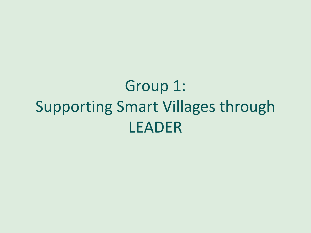## Group 1: Supporting Smart Villages through LEADER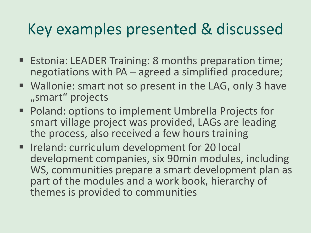## Key examples presented & discussed

- Estonia: LEADER Training: 8 months preparation time; negotiations with PA – agreed a simplified procedure;
- Wallonie: smart not so present in the LAG, only 3 have "smart" projects
- Poland: options to implement Umbrella Projects for smart village project was provided, LAGs are leading the process, also received a few hours training
- Ireland: curriculum development for 20 local development companies, six 90min modules, including WS, communities prepare a smart development plan as part of the modules and a work book, hierarchy of themes is provided to communities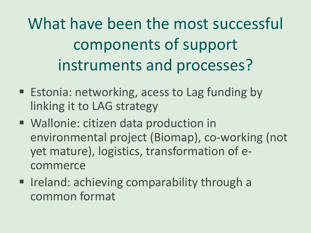What have been the most successful components of support instruments and processes?

- Estonia: networking, acess to Lag funding by linking it to LAG strategy
- Wallonie: citizen data production in environmental project (Biomap), co-working (not yet mature), logistics, transformation of ecommerce
- Ireland: achieving comparability through a common format